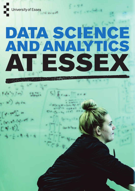University of Essex

# DATA SCIENCE AND ANALYTICS AT ESSEX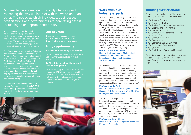Modern technologies are constantly changing and reshaping the way we interact with the world and each other. The speed at which individuals, businesses, organisations and governments are generating data is increasing at an unprecedented rate.

Making sense of all this data, deriving new insights and supporting better decisions requires not just new methods and techniques, but also posing smarter questions. We look beyond the hype and focus on the real challenges, opportunities, commercialisation and social use of data.

Our Department of Mathematical Sciences and School of Computer Science and Electronic Engineering recently introduced two new courses: BSc Data Science and Analytics, and MSc Data Science. These courses cover modules from computer science and mathematics, introducing you to a range of mathematics and statistical topics as well as computing skills such as programming, software engineering, databases, data mining, web development, and artificial intelligence.

Our students have gone on to work for high-profile companies such as BT, EDS, IBM, Mondaq, Profusion, Royal Bank of Scotland, Accenture, Google and Force India F1.

## Our courses

- BSc Data Science and Analytics
- BSc Mathematics and Statistics
- BSc Mathematics with Computing

# Entry requirements

#### **A-levels: BBB, including Mathematics.**

Please note we are unable to accept A-level Use of Mathematics in place of A-level Mathematics.

### **IB: 30 points, including Higher Level Mathematics grade 5.**

We are also happy to consider a combination of separate IB Diploma Programmes at both Higher and Standard Level. Please note that Maths in the IB is not required if you have or above.

# Work with our industry experts

"Essex is a thriving University, ranked Top 25 overall and fourth for services and facilities spend per student in the UK (Times Good University Guide 2018). Students will be able to enjoy the use of new facilities such as our £13m STEM building and an innovative zero-carbon business school. Our new home, together with our industry partners, will help us to develop our outstanding performance on student employability. Mathematics at Essex recently scored 90% (DLHE 2016) and ranks fourth in the UK (Guardian University Guide 2018) for graduate employability."

#### **Professor Berthold Lausen**

Head of the Department of Mathematical Sciences, and President-Elect of the International Federation of Classification Societies (IFCS)

"In the developed world we are surrounded by computational technologies and data all the time, but in developing and transitioning countries these sorts of breakthroughs have not arrived yet. There is a lot of potential to use technology, data science, analytics and the power of big data to help these countries to create sustainable and self-reliant economies."

#### **Professor Maria Fasli**

Director of the Institute for Analytics and Data Science (IADS) at Essex, and UNESCO Chair in Analytics and Data Science

"Our School of Computer Science and Electronic Engineering prides itself on the quality of education we provide our students. In particular the applied nature of our courses, and the focus on creativity and imagination, provides an experience proven by our 92% graduate employability score (DLHE 2016), to be just what Industry wants."

**Professor Anthony Vickers** Head of the School of Computer Science and Electronic Engineering

## Thinking further ahead

We also offer a broad range of Masters degrees which may interest you in a few years' time.

- MSc Actuarial Science
- MSc Algorithmic Trading
- MSc Applied Economics and Data Analysis
- MSc Big Data and Text Analytics
- MSc Business Analytics
- MSc Computational Economics, Financial Markets and Policy
- MSc Computational Finance
- MSc Data Science
- MSc Economics and Econometrics
- MSc Finance and Data Analytics
- MSc Statistics
- MSc Statistics and Operational Research

Essex offers an Alumni Loyalty Discount, where you can save up to 33% off your Masters degree fee if you study for your undergraduate degree with us.